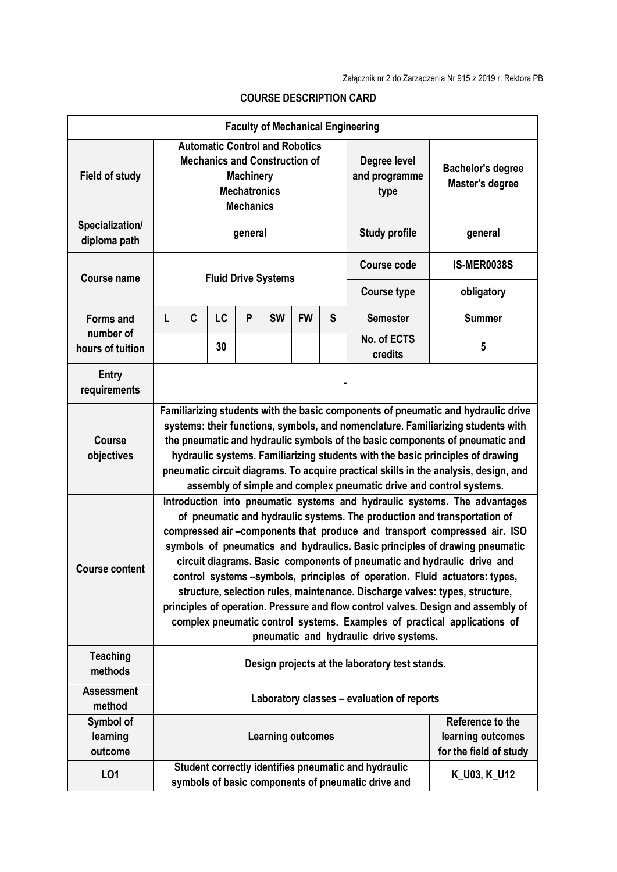|                                  |                                                                                                                                                                                                                                                                                                                                                                                                                                                                                                                                                                                                                                                                                                                                                                       |   |    |   |                          |           |                                       | <b>Faculty of Mechanical Engineering</b>                                                                   |                                                                 |
|----------------------------------|-----------------------------------------------------------------------------------------------------------------------------------------------------------------------------------------------------------------------------------------------------------------------------------------------------------------------------------------------------------------------------------------------------------------------------------------------------------------------------------------------------------------------------------------------------------------------------------------------------------------------------------------------------------------------------------------------------------------------------------------------------------------------|---|----|---|--------------------------|-----------|---------------------------------------|------------------------------------------------------------------------------------------------------------|-----------------------------------------------------------------|
| <b>Field of study</b>            | <b>Automatic Control and Robotics</b><br><b>Mechanics and Construction of</b><br><b>Machinery</b><br><b>Mechatronics</b><br><b>Mechanics</b>                                                                                                                                                                                                                                                                                                                                                                                                                                                                                                                                                                                                                          |   |    |   |                          |           | Degree level<br>and programme<br>type | <b>Bachelor's degree</b><br>Master's degree                                                                |                                                                 |
| Specialization/<br>diploma path  | general                                                                                                                                                                                                                                                                                                                                                                                                                                                                                                                                                                                                                                                                                                                                                               |   |    |   |                          |           | <b>Study profile</b>                  | general                                                                                                    |                                                                 |
| <b>Course name</b>               | <b>Fluid Drive Systems</b>                                                                                                                                                                                                                                                                                                                                                                                                                                                                                                                                                                                                                                                                                                                                            |   |    |   |                          |           |                                       | <b>Course code</b>                                                                                         | <b>IS-MER0038S</b>                                              |
|                                  |                                                                                                                                                                                                                                                                                                                                                                                                                                                                                                                                                                                                                                                                                                                                                                       |   |    |   |                          |           | <b>Course type</b>                    | obligatory                                                                                                 |                                                                 |
| <b>Forms and</b>                 | L                                                                                                                                                                                                                                                                                                                                                                                                                                                                                                                                                                                                                                                                                                                                                                     | C | LC | P | <b>SW</b>                | <b>FW</b> | S                                     | <b>Semester</b>                                                                                            | <b>Summer</b>                                                   |
| number of<br>hours of tuition    |                                                                                                                                                                                                                                                                                                                                                                                                                                                                                                                                                                                                                                                                                                                                                                       |   | 30 |   |                          |           |                                       | No. of ECTS<br>credits                                                                                     | 5                                                               |
| <b>Entry</b><br>requirements     |                                                                                                                                                                                                                                                                                                                                                                                                                                                                                                                                                                                                                                                                                                                                                                       |   |    |   |                          |           |                                       |                                                                                                            |                                                                 |
| <b>Course</b><br>objectives      | Familiarizing students with the basic components of pneumatic and hydraulic drive<br>systems: their functions, symbols, and nomenclature. Familiarizing students with<br>the pneumatic and hydraulic symbols of the basic components of pneumatic and<br>hydraulic systems. Familiarizing students with the basic principles of drawing<br>pneumatic circuit diagrams. To acquire practical skills in the analysis, design, and<br>assembly of simple and complex pneumatic drive and control systems.                                                                                                                                                                                                                                                                |   |    |   |                          |           |                                       |                                                                                                            |                                                                 |
| <b>Course content</b>            | Introduction into pneumatic systems and hydraulic systems. The advantages<br>of pneumatic and hydraulic systems. The production and transportation of<br>compressed air -components that produce and transport compressed air. ISO<br>symbols of pneumatics and hydraulics. Basic principles of drawing pneumatic<br>circuit diagrams. Basic components of pneumatic and hydraulic drive and<br>control systems -symbols, principles of operation. Fluid actuators: types,<br>structure, selection rules, maintenance. Discharge valves: types, structure,<br>principles of operation. Pressure and flow control valves. Design and assembly of<br>complex pneumatic control systems. Examples of practical applications of<br>pneumatic and hydraulic drive systems. |   |    |   |                          |           |                                       |                                                                                                            |                                                                 |
| <b>Teaching</b><br>methods       | Design projects at the laboratory test stands.                                                                                                                                                                                                                                                                                                                                                                                                                                                                                                                                                                                                                                                                                                                        |   |    |   |                          |           |                                       |                                                                                                            |                                                                 |
| <b>Assessment</b><br>method      | Laboratory classes - evaluation of reports                                                                                                                                                                                                                                                                                                                                                                                                                                                                                                                                                                                                                                                                                                                            |   |    |   |                          |           |                                       |                                                                                                            |                                                                 |
| Symbol of<br>learning<br>outcome |                                                                                                                                                                                                                                                                                                                                                                                                                                                                                                                                                                                                                                                                                                                                                                       |   |    |   | <b>Learning outcomes</b> |           |                                       |                                                                                                            | Reference to the<br>learning outcomes<br>for the field of study |
| L01                              |                                                                                                                                                                                                                                                                                                                                                                                                                                                                                                                                                                                                                                                                                                                                                                       |   |    |   |                          |           |                                       | Student correctly identifies pneumatic and hydraulic<br>symbols of basic components of pneumatic drive and | K_U03, K_U12                                                    |

## **COURSE DESCRIPTION CARD**